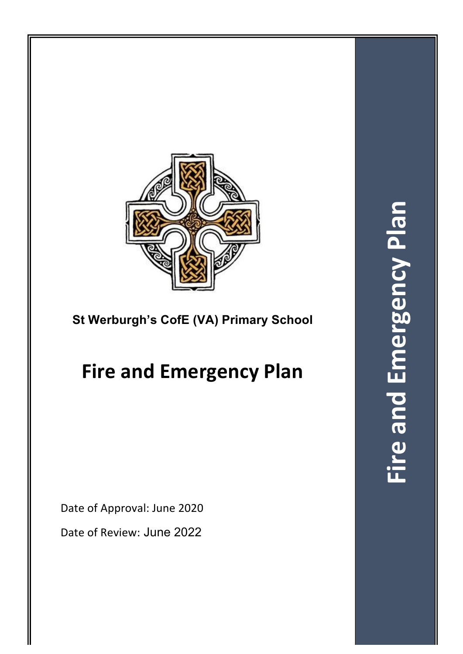

# **St Werburgh's CofE (VA) Primary School**

# **Fire and Emergency Plan**

Date of Approval: June 2020

Date of Review: June 2022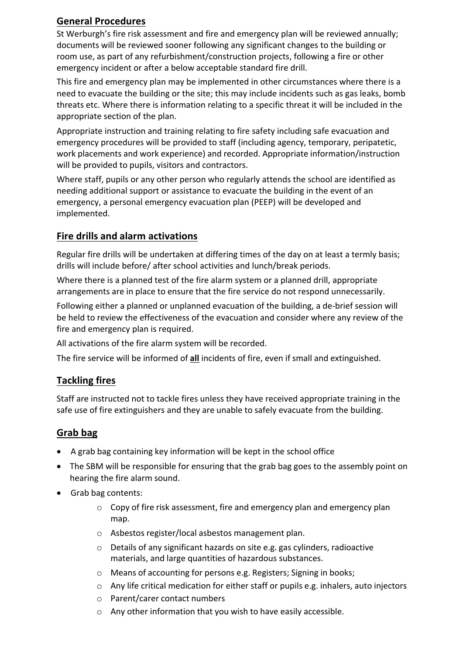## **General Procedures**

St Werburgh's fire risk assessment and fire and emergency plan will be reviewed annually; documents will be reviewed sooner following any significant changes to the building or room use, as part of any refurbishment/construction projects, following a fire or other emergency incident or after a below acceptable standard fire drill.

This fire and emergency plan may be implemented in other circumstances where there is a need to evacuate the building or the site; this may include incidents such as gas leaks, bomb threats etc. Where there is information relating to a specific threat it will be included in the appropriate section of the plan.

Appropriate instruction and training relating to fire safety including safe evacuation and emergency procedures will be provided to staff (including agency, temporary, peripatetic, work placements and work experience) and recorded. Appropriate information/instruction will be provided to pupils, visitors and contractors.

Where staff, pupils or any other person who regularly attends the school are identified as needing additional support or assistance to evacuate the building in the event of an emergency, a personal emergency evacuation plan (PEEP) will be developed and implemented.

## **Fire drills and alarm activations**

Regular fire drills will be undertaken at differing times of the day on at least a termly basis; drills will include before/ after school activities and lunch/break periods.

Where there is a planned test of the fire alarm system or a planned drill, appropriate arrangements are in place to ensure that the fire service do not respond unnecessarily.

Following either a planned or unplanned evacuation of the building, a de-brief session will be held to review the effectiveness of the evacuation and consider where any review of the fire and emergency plan is required.

All activations of the fire alarm system will be recorded.

The fire service will be informed of all incidents of fire, even if small and extinguished.

## **Tackling fires**

Staff are instructed not to tackle fires unless they have received appropriate training in the safe use of fire extinguishers and they are unable to safely evacuate from the building.

## **Grab bag**

- $\bullet$  A grab bag containing key information will be kept in the school office
- The SBM will be responsible for ensuring that the grab bag goes to the assembly point on hearing the fire alarm sound.
- Grab bag contents:
	- $\circ$  Copy of fire risk assessment, fire and emergency plan and emergency plan map.
	- o Asbestos register/local asbestos management plan.
	- o Details of any significant hazards on site e.g. gas cylinders, radioactive materials, and large quantities of hazardous substances.
	- o Means of accounting for persons e.g. Registers; Signing in books;
	- $\circ$  Any life critical medication for either staff or pupils e.g. inhalers, auto injectors
	- o Parent/carer contact numbers
	- $\circ$  Any other information that you wish to have easily accessible.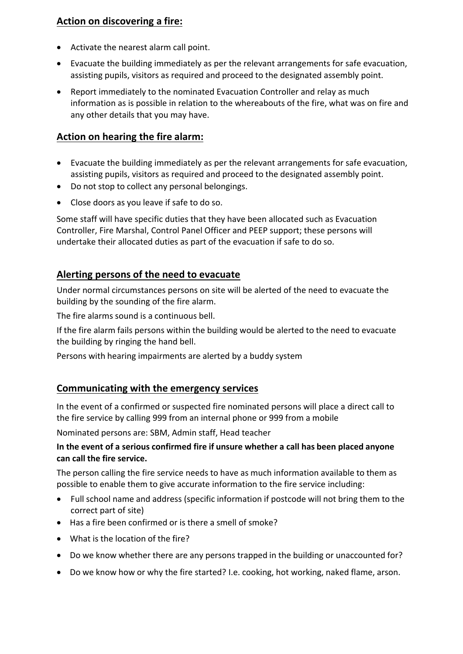## **Action on discovering a fire:**

- Activate the nearest alarm call point.
- Evacuate the building immediately as per the relevant arrangements for safe evacuation, assisting pupils, visitors as required and proceed to the designated assembly point.
- Report immediately to the nominated Evacuation Controller and relay as much information as is possible in relation to the whereabouts of the fire, what was on fire and any other details that you may have.

## **Action on hearing the fire alarm:**

- Evacuate the building immediately as per the relevant arrangements for safe evacuation, assisting pupils, visitors as required and proceed to the designated assembly point.
- Do not stop to collect any personal belongings.
- Close doors as you leave if safe to do so.

Some staff will have specific duties that they have been allocated such as Evacuation Controller, Fire Marshal, Control Panel Officer and PEEP support; these persons will undertake their allocated duties as part of the evacuation if safe to do so.

## **Alerting persons of the need to evacuate**

Under normal circumstances persons on site will be alerted of the need to evacuate the building by the sounding of the fire alarm.

The fire alarms sound is a continuous bell.

If the fire alarm fails persons within the building would be alerted to the need to evacuate the building by ringing the hand bell.

Persons with hearing impairments are alerted by a buddy system

#### **Communicating with the emergency services**

In the event of a confirmed or suspected fire nominated persons will place a direct call to the fire service by calling 999 from an internal phone or 999 from a mobile

Nominated persons are: SBM, Admin staff, Head teacher

#### **In the event of a serious confirmed fire if unsure whether a call has been placed anyone can call the fire service.**

The person calling the fire service needs to have as much information available to them as possible to enable them to give accurate information to the fire service including:

- Full school name and address (specific information if postcode will not bring them to the correct part of site)
- Has a fire been confirmed or is there a smell of smoke?
- What is the location of the fire?
- Do we know whether there are any persons trapped in the building or unaccounted for?
- Do we know how or why the fire started? I.e. cooking, hot working, naked flame, arson.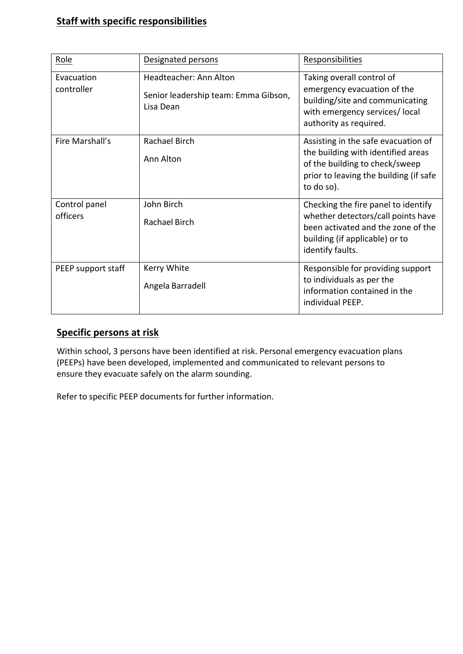## **Staff with specific responsibilities**

| Role                      | Designated persons                                                          | Responsibilities                                                                                                                                                      |
|---------------------------|-----------------------------------------------------------------------------|-----------------------------------------------------------------------------------------------------------------------------------------------------------------------|
| Evacuation<br>controller  | Headteacher: Ann Alton<br>Senior leadership team: Emma Gibson,<br>Lisa Dean | Taking overall control of<br>emergency evacuation of the<br>building/site and communicating<br>with emergency services/local<br>authority as required.                |
| Fire Marshall's           | Rachael Birch<br>Ann Alton                                                  | Assisting in the safe evacuation of<br>the building with identified areas<br>of the building to check/sweep<br>prior to leaving the building (if safe<br>to do so).   |
| Control panel<br>officers | John Birch<br><b>Rachael Birch</b>                                          | Checking the fire panel to identify<br>whether detectors/call points have<br>been activated and the zone of the<br>building (if applicable) or to<br>identify faults. |
| PEEP support staff        | Kerry White<br>Angela Barradell                                             | Responsible for providing support<br>to individuals as per the<br>information contained in the<br>individual PEEP.                                                    |

## **Specific persons at risk**

Within school, 3 persons have been identified at risk. Personal emergency evacuation plans (PEEPs) have been developed, implemented and communicated to relevant persons to ensure they evacuate safely on the alarm sounding.

Refer to specific PEEP documents for further information.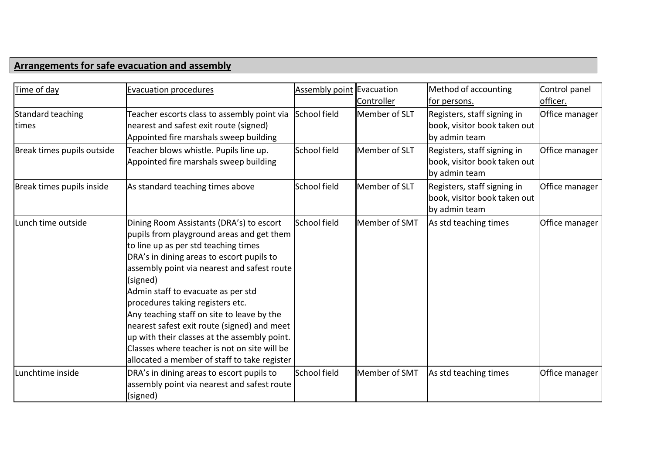## **Arrangements for safe evacuation and assembly**

| Time of day                       | <b>Evacuation procedures</b>                                                                                                                                                                                                                                                                                                                                                                                                                                                                                                                                 | <b>Assembly point Evacuation</b> |               | Method of accounting                                                         | Control panel  |
|-----------------------------------|--------------------------------------------------------------------------------------------------------------------------------------------------------------------------------------------------------------------------------------------------------------------------------------------------------------------------------------------------------------------------------------------------------------------------------------------------------------------------------------------------------------------------------------------------------------|----------------------------------|---------------|------------------------------------------------------------------------------|----------------|
|                                   |                                                                                                                                                                                                                                                                                                                                                                                                                                                                                                                                                              |                                  | Controller    | for persons.                                                                 | officer.       |
| Standard teaching<br><b>times</b> | Teacher escorts class to assembly point via<br>nearest and safest exit route (signed)<br>Appointed fire marshals sweep building                                                                                                                                                                                                                                                                                                                                                                                                                              | School field                     | Member of SLT | Registers, staff signing in<br>book, visitor book taken out<br>by admin team | Office manager |
| Break times pupils outside        | Teacher blows whistle. Pupils line up.<br>Appointed fire marshals sweep building                                                                                                                                                                                                                                                                                                                                                                                                                                                                             | <b>School field</b>              | Member of SLT | Registers, staff signing in<br>book, visitor book taken out<br>by admin team | Office manager |
| Break times pupils inside         | As standard teaching times above                                                                                                                                                                                                                                                                                                                                                                                                                                                                                                                             | School field                     | Member of SLT | Registers, staff signing in<br>book, visitor book taken out<br>by admin team | Office manager |
| Lunch time outside                | Dining Room Assistants (DRA's) to escort<br>pupils from playground areas and get them<br>to line up as per std teaching times<br>DRA's in dining areas to escort pupils to<br>assembly point via nearest and safest route<br>(signed)<br>Admin staff to evacuate as per std<br>procedures taking registers etc.<br>Any teaching staff on site to leave by the<br>nearest safest exit route (signed) and meet<br>up with their classes at the assembly point.<br>Classes where teacher is not on site will be<br>allocated a member of staff to take register | School field                     | Member of SMT | As std teaching times                                                        | Office manager |
| Lunchtime inside                  | DRA's in dining areas to escort pupils to<br>assembly point via nearest and safest route<br>(signed)                                                                                                                                                                                                                                                                                                                                                                                                                                                         | School field                     | Member of SMT | As std teaching times                                                        | Office manager |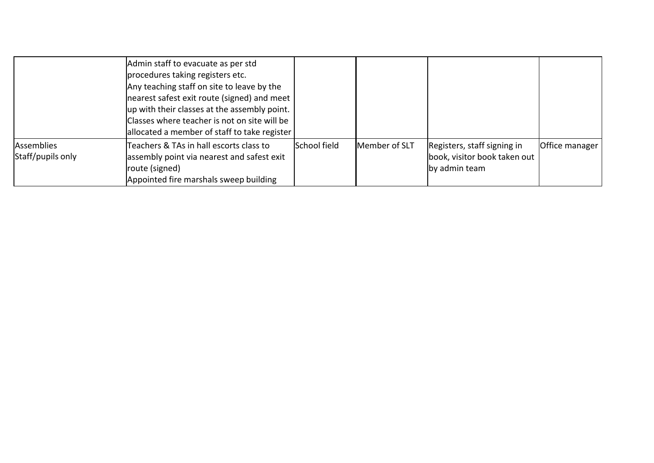|                                        | Admin staff to evacuate as per std<br>procedures taking registers etc.<br>Any teaching staff on site to leave by the<br>nearest safest exit route (signed) and meet<br>up with their classes at the assembly point.<br>Classes where teacher is not on site will be<br>allocated a member of staff to take register |              |               |                                                                              |                |
|----------------------------------------|---------------------------------------------------------------------------------------------------------------------------------------------------------------------------------------------------------------------------------------------------------------------------------------------------------------------|--------------|---------------|------------------------------------------------------------------------------|----------------|
| <b>Assemblies</b><br>Staff/pupils only | Teachers & TAs in hall escorts class to<br>assembly point via nearest and safest exit<br>route (signed)<br>Appointed fire marshals sweep building                                                                                                                                                                   | School field | Member of SLT | Registers, staff signing in<br>book, visitor book taken out<br>by admin team | Office manager |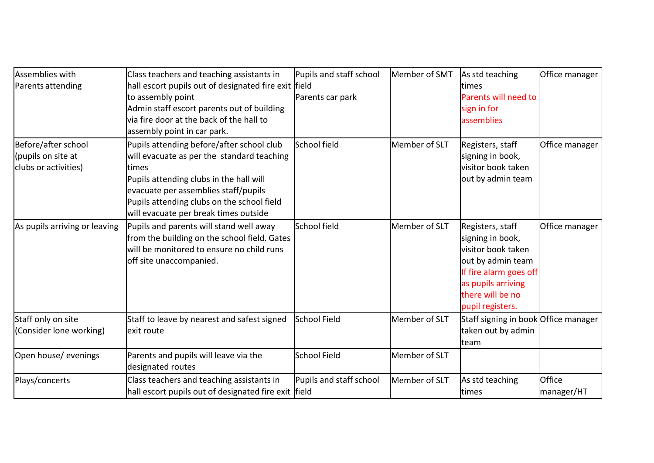| Assemblies with<br>Parents attending                              | Class teachers and teaching assistants in<br>hall escort pupils out of designated fire exit   field<br>to assembly point<br>Admin staff escort parents out of building<br>via fire door at the back of the hall to<br>assembly point in car park.                          | Pupils and staff school<br>Parents car park | Member of SMT | As std teaching<br>times<br>Parents will need to<br>sign in for<br>assemblies                                                                                           | Office manager       |
|-------------------------------------------------------------------|----------------------------------------------------------------------------------------------------------------------------------------------------------------------------------------------------------------------------------------------------------------------------|---------------------------------------------|---------------|-------------------------------------------------------------------------------------------------------------------------------------------------------------------------|----------------------|
| Before/after school<br>(pupils on site at<br>clubs or activities) | Pupils attending before/after school club<br>will evacuate as per the standard teaching<br>times<br>Pupils attending clubs in the hall will<br>evacuate per assemblies staff/pupils<br>Pupils attending clubs on the school field<br>will evacuate per break times outside | School field                                | Member of SLT | Registers, staff<br>signing in book,<br>visitor book taken<br>out by admin team                                                                                         | Office manager       |
| As pupils arriving or leaving                                     | Pupils and parents will stand well away<br>from the building on the school field. Gates<br>will be monitored to ensure no child runs<br>off site unaccompanied.                                                                                                            | School field                                | Member of SLT | Registers, staff<br>signing in book,<br>visitor book taken<br>out by admin team<br>If fire alarm goes off<br>as pupils arriving<br>there will be no<br>pupil registers. | Office manager       |
| Staff only on site<br>(Consider lone working)                     | Staff to leave by nearest and safest signed<br>exit route                                                                                                                                                                                                                  | <b>School Field</b>                         | Member of SLT | Staff signing in book Office manager<br>taken out by admin<br>team                                                                                                      |                      |
| Open house/ evenings                                              | Parents and pupils will leave via the<br>designated routes                                                                                                                                                                                                                 | <b>School Field</b>                         | Member of SLT |                                                                                                                                                                         |                      |
| Plays/concerts                                                    | Class teachers and teaching assistants in<br>hall escort pupils out of designated fire exit field                                                                                                                                                                          | Pupils and staff school                     | Member of SLT | As std teaching<br>times                                                                                                                                                | Office<br>manager/HT |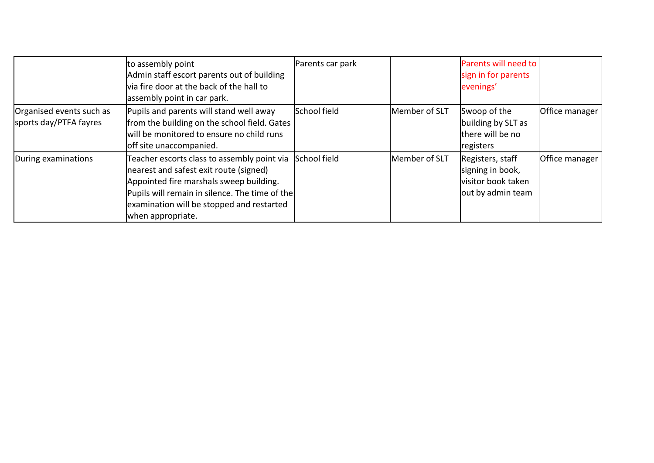|                                                    | to assembly point<br>Admin staff escort parents out of building<br>via fire door at the back of the hall to<br>assembly point in car park.                                                                                                                        | Parents car park |               | Parents will need to<br>sign in for parents<br>evenings'                        |                |
|----------------------------------------------------|-------------------------------------------------------------------------------------------------------------------------------------------------------------------------------------------------------------------------------------------------------------------|------------------|---------------|---------------------------------------------------------------------------------|----------------|
| Organised events such as<br>sports day/PTFA fayres | Pupils and parents will stand well away<br>from the building on the school field. Gates<br>will be monitored to ensure no child runs<br>off site unaccompanied.                                                                                                   | School field     | Member of SLT | Swoop of the<br>building by SLT as<br>there will be no<br>registers             | Office manager |
| During examinations                                | Teacher escorts class to assembly point via School field<br>nearest and safest exit route (signed)<br>Appointed fire marshals sweep building.<br>Pupils will remain in silence. The time of the<br>examination will be stopped and restarted<br>when appropriate. |                  | Member of SLT | Registers, staff<br>signing in book,<br>visitor book taken<br>out by admin team | Office manager |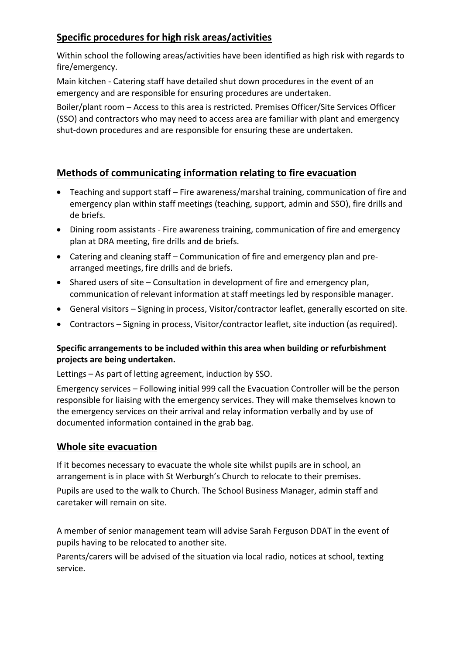## **Specific procedures for high risk areas/activities**

Within school the following areas/activities have been identified as high risk with regards to fire/emergency.

Main kitchen - Catering staff have detailed shut down procedures in the event of an emergency and are responsible for ensuring procedures are undertaken.

Boiler/plant room - Access to this area is restricted. Premises Officer/Site Services Officer (SSO) and contractors who may need to access area are familiar with plant and emergency shut-down procedures and are responsible for ensuring these are undertaken.

## **Methods of communicating information relating to fire evacuation**

- Teaching and support staff Fire awareness/marshal training, communication of fire and emergency plan within staff meetings (teaching, support, admin and SSO), fire drills and de briefs.
- Dining room assistants Fire awareness training, communication of fire and emergency plan at DRA meeting, fire drills and de briefs.
- Catering and cleaning staff Communication of fire and emergency plan and prearranged meetings, fire drills and de briefs.
- Shared users of site Consultation in development of fire and emergency plan, communication of relevant information at staff meetings led by responsible manager.
- General visitors Signing in process, Visitor/contractor leaflet, generally escorted on site.
- Contractors Signing in process, Visitor/contractor leaflet, site induction (as required).

#### **Specific arrangements to be included within this area when building or refurbishment projects are being undertaken.**

Lettings – As part of letting agreement, induction by SSO.

Emergency services  $-$  Following initial 999 call the Evacuation Controller will be the person responsible for liaising with the emergency services. They will make themselves known to the emergency services on their arrival and relay information verbally and by use of documented information contained in the grab bag.

## **Whole site evacuation**

If it becomes necessary to evacuate the whole site whilst pupils are in school, an arrangement is in place with St Werburgh's Church to relocate to their premises.

Pupils are used to the walk to Church. The School Business Manager, admin staff and caretaker will remain on site.

A member of senior management team will advise Sarah Ferguson DDAT in the event of pupils having to be relocated to another site.

Parents/carers will be advised of the situation via local radio, notices at school, texting service.